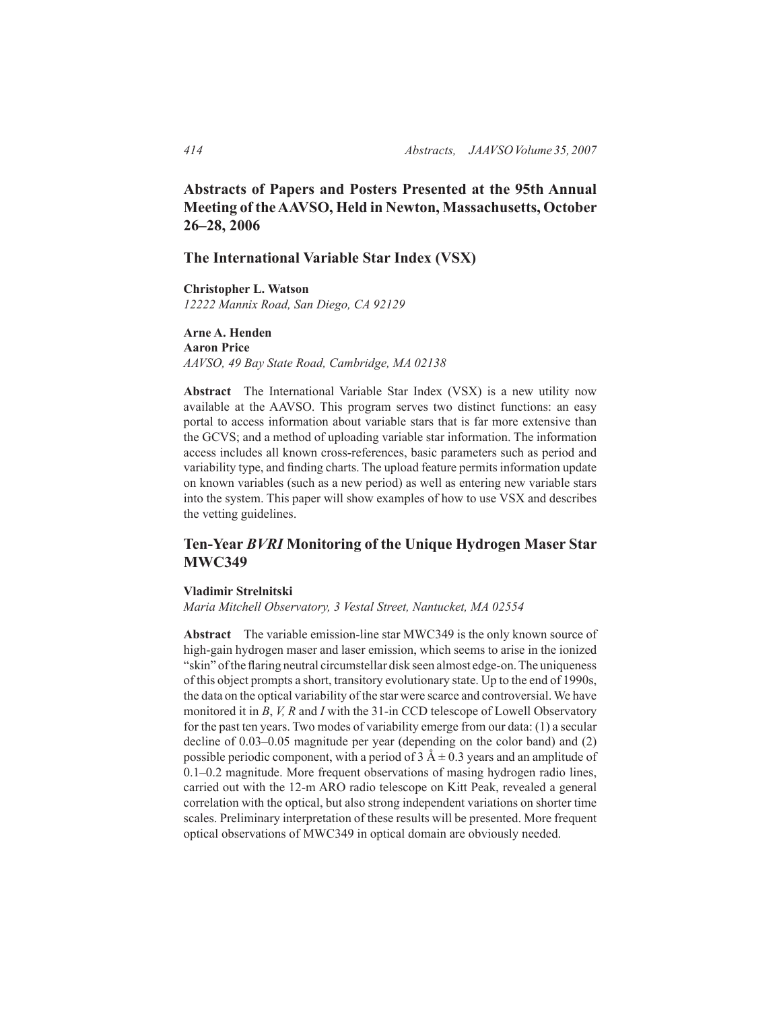# **Abstracts of Papers and Posters Presented at the 95th Annual Meeting of the AAVSO, Held in Newton, Massachusetts, October 26–28, 2006**

## **The International Variable Star Index (VSX)**

**Christopher L. Watson** *12222 Mannix Road, San Diego, CA 92129*

## **Arne A. Henden Aaron Price** *AAVSO, 49 Bay State Road, Cambridge, MA 02138*

**Abstract** The International Variable Star Index (VSX) is a new utility now available at the AAVSO. This program serves two distinct functions: an easy portal to access information about variable stars that is far more extensive than the GCVS; and a method of uploading variable star information. The information access includes all known cross-references, basic parameters such as period and variability type, and finding charts. The upload feature permits information update on known variables (such as a new period) as well as entering new variable stars into the system. This paper will show examples of how to use VSX and describes the vetting guidelines.

# **Ten-Year** *BVRI* **Monitoring of the Unique Hydrogen Maser Star MWC349**

#### **Vladimir Strelnitski**

*Maria Mitchell Observatory, 3 Vestal Street, Nantucket, MA 02554*

**Abstract** The variable emission-line star MWC349 is the only known source of high-gain hydrogen maser and laser emission, which seems to arise in the ionized "skin" of the flaring neutral circumstellar disk seen almost edge-on. The uniqueness of this object prompts a short, transitory evolutionary state. Up to the end of 1990s, the data on the optical variability of the star were scarce and controversial. We have monitored it in *B*, *V, R* and *I* with the 31-in CCD telescope of Lowell Observatory for the past ten years. Two modes of variability emerge from our data: (1) a secular decline of 0.03–0.05 magnitude per year (depending on the color band) and (2) possible periodic component, with a period of  $3 \text{ Å} \pm 0.3$  years and an amplitude of 0.1–0.2 magnitude. More frequent observations of masing hydrogen radio lines, carried out with the 12-m ARO radio telescope on Kitt Peak, revealed a general correlation with the optical, but also strong independent variations on shorter time scales. Preliminary interpretation of these results will be presented. More frequent optical observations of MWC349 in optical domain are obviously needed.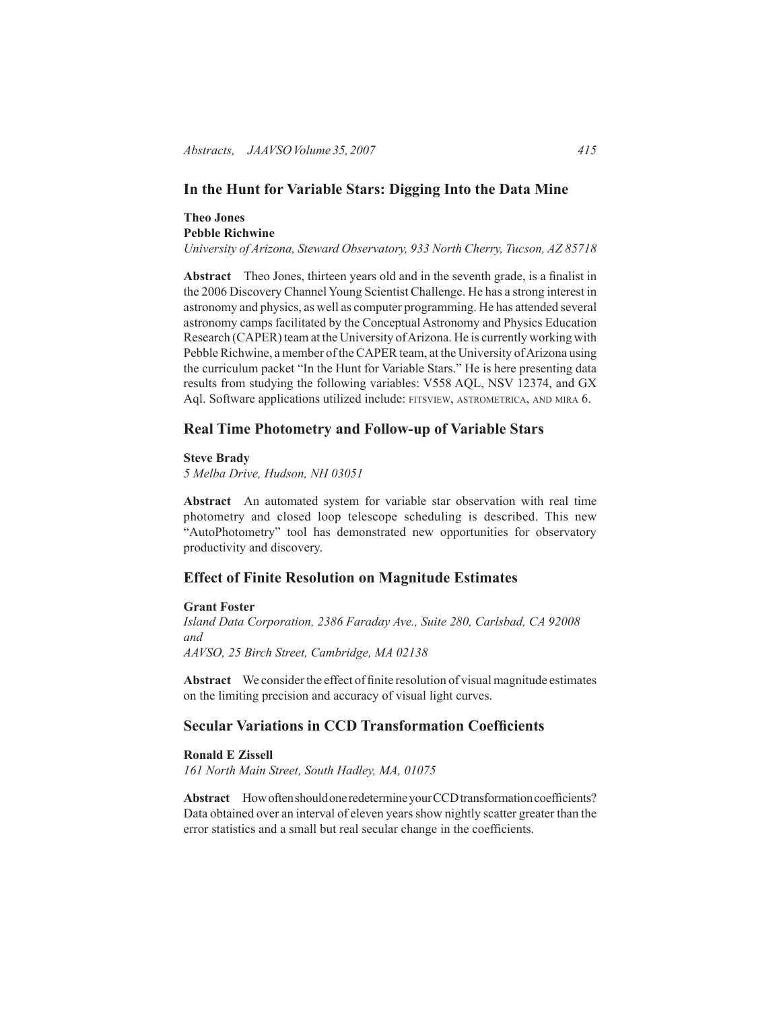# **In the Hunt for Variable Stars: Digging Into the Data Mine**

## **Theo Jones Pebble Richwine** *University of Arizona, Steward Observatory, 933 North Cherry, Tucson, AZ 85718*

**Abstract** Theo Jones, thirteen years old and in the seventh grade, is a finalist in

the 2006 Discovery Channel Young Scientist Challenge. He has a strong interest in astronomy and physics, as well as computer programming. He has attended several astronomy camps facilitated by the Conceptual Astronomy and Physics Education Research (CAPER) team at the University of Arizona. He is currently working with Pebble Richwine, a member of the CAPER team, at the University of Arizona using the curriculum packet "In the Hunt for Variable Stars." He is here presenting data results from studying the following variables: V558 AQL, NSV 12374, and GX Aql. Software applications utilized include: FITSVIEW, ASTROMETRICA, AND MIRA 6.

## **Real Time Photometry and Follow-up of Variable Stars**

## **Steve Brady**

*5 Melba Drive, Hudson, NH 03051*

**Abstract** An automated system for variable star observation with real time photometry and closed loop telescope scheduling is described. This new "AutoPhotometry" tool has demonstrated new opportunities for observatory productivity and discovery.

# **Effect of Finite Resolution on Magnitude Estimates**

#### **Grant Foster**

*Island Data Corporation, 2386 Faraday Ave., Suite 280, Carlsbad, CA 92008 and AAVSO, 25 Birch Street, Cambridge, MA 02138*

**Abstract** We consider the effect of finite resolution of visual magnitude estimates on the limiting precision and accuracy of visual light curves.

# **Secular Variations in CCD Transformation Coefficients**

### **Ronald E Zissell**

*161 North Main Street, South Hadley, MA, 01075*

**Abstract** How often should one redetermine your CCD transformation coefficients? Data obtained over an interval of eleven years show nightly scatter greater than the error statistics and a small but real secular change in the coefficients.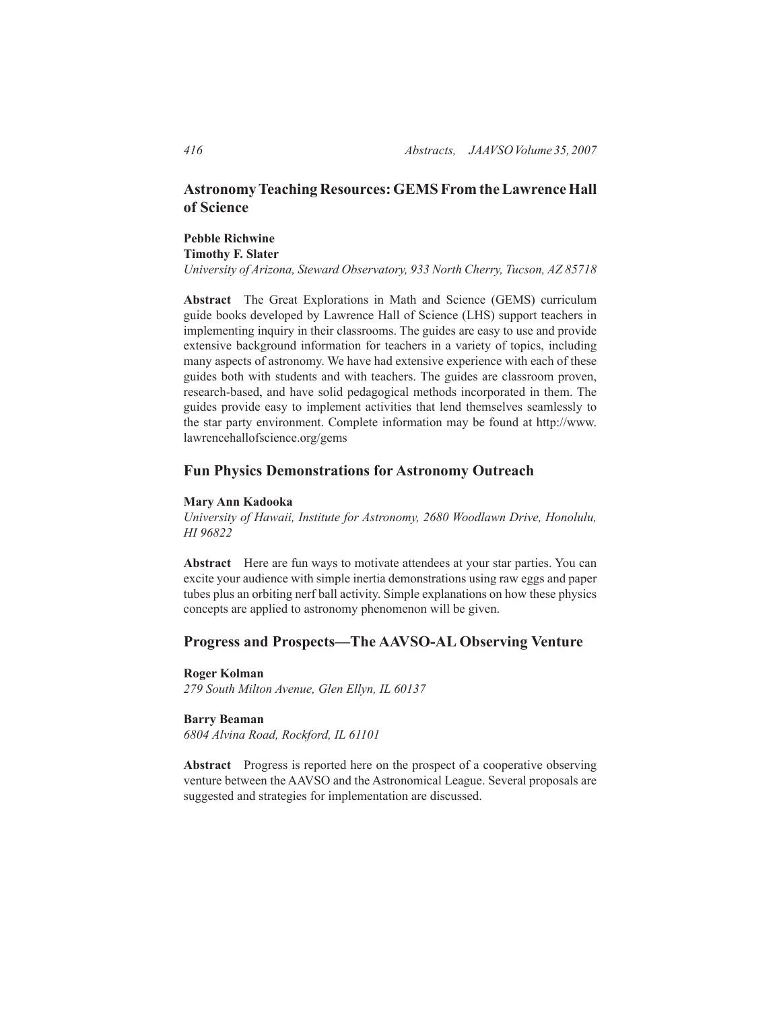# **Astronomy Teaching Resources: GEMS From the Lawrence Hall of Science**

# **Pebble Richwine Timothy F. Slater**

*University of Arizona, Steward Observatory, 933 North Cherry, Tucson, AZ 85718*

**Abstract** The Great Explorations in Math and Science (GEMS) curriculum guide books developed by Lawrence Hall of Science (LHS) support teachers in implementing inquiry in their classrooms. The guides are easy to use and provide extensive background information for teachers in a variety of topics, including many aspects of astronomy. We have had extensive experience with each of these guides both with students and with teachers. The guides are classroom proven, research-based, and have solid pedagogical methods incorporated in them. The guides provide easy to implement activities that lend themselves seamlessly to the star party environment. Complete information may be found at http://www. lawrencehallofscience.org/gems

## **Fun Physics Demonstrations for Astronomy Outreach**

## **Mary Ann Kadooka**

*University of Hawaii, Institute for Astronomy, 2680 Woodlawn Drive, Honolulu, HI 96822*

**Abstract** Here are fun ways to motivate attendees at your star parties. You can excite your audience with simple inertia demonstrations using raw eggs and paper tubes plus an orbiting nerf ball activity. Simple explanations on how these physics concepts are applied to astronomy phenomenon will be given.

## **Progress and Prospects—The AAVSO-AL Observing Venture**

#### **Roger Kolman**

*279 South Milton Avenue, Glen Ellyn, IL 60137*

#### **Barry Beaman**

*6804 Alvina Road, Rockford, IL 61101*

**Abstract** Progress is reported here on the prospect of a cooperative observing venture between the AAVSO and the Astronomical League. Several proposals are suggested and strategies for implementation are discussed.